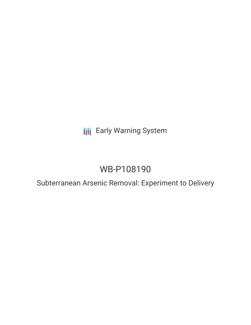## **III** Early Warning System

# WB-P108190

### Subterranean Arsenic Removal: Experiment to Delivery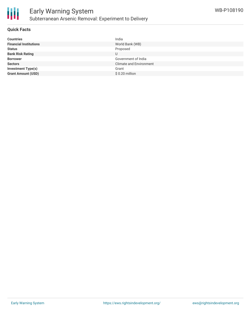

#### **Quick Facts**

| <b>Countries</b>              | India                          |
|-------------------------------|--------------------------------|
| <b>Financial Institutions</b> | World Bank (WB)                |
| <b>Status</b>                 | Proposed                       |
| <b>Bank Risk Rating</b>       |                                |
| <b>Borrower</b>               | Government of India            |
| <b>Sectors</b>                | <b>Climate and Environment</b> |
| <b>Investment Type(s)</b>     | Grant                          |
| <b>Grant Amount (USD)</b>     | $$0.20$ million                |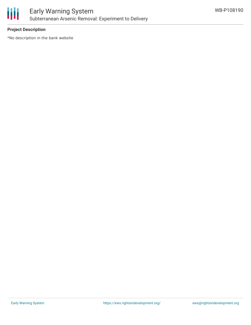

#### **Project Description**

\*No description in the bank website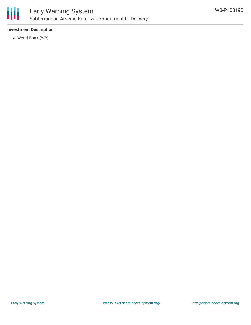

#### **Investment Description**

World Bank (WB)